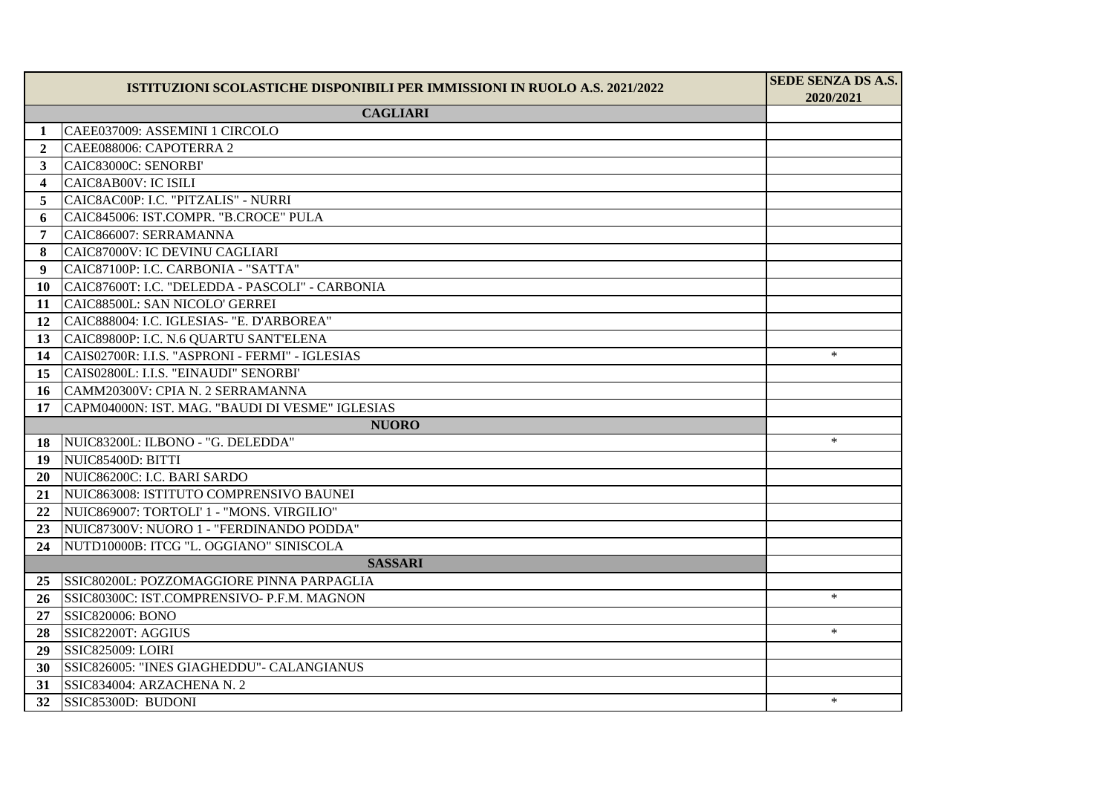|                         | ISTITUZIONI SCOLASTICHE DISPONIBILI PER IMMISSIONI IN RUOLO A.S. 2021/2022 | SEDE SENZA DS A.S.<br>2020/2021 |
|-------------------------|----------------------------------------------------------------------------|---------------------------------|
| <b>CAGLIARI</b>         |                                                                            |                                 |
| $\mathbf 1$             | CAEE037009: ASSEMINI 1 CIRCOLO                                             |                                 |
| $\mathbf{2}$            | CAEE088006: CAPOTERRA 2                                                    |                                 |
| 3                       | CAIC83000C: SENORBI'                                                       |                                 |
| $\overline{\mathbf{4}}$ | CAIC8AB00V: IC ISILI                                                       |                                 |
| 5                       | CAIC8AC00P: I.C. "PITZALIS" - NURRI                                        |                                 |
| 6                       | CAIC845006: IST.COMPR. "B.CROCE" PULA                                      |                                 |
| 7                       | CAIC866007: SERRAMANNA                                                     |                                 |
| 8                       | CAIC87000V: IC DEVINU CAGLIARI                                             |                                 |
| 9                       | CAIC87100P: I.C. CARBONIA - "SATTA"                                        |                                 |
| 10                      | CAIC87600T: I.C. "DELEDDA - PASCOLI" - CARBONIA                            |                                 |
| 11                      | CAIC88500L: SAN NICOLO' GERREI                                             |                                 |
| 12                      | CAIC888004: I.C. IGLESIAS- "E. D'ARBOREA"                                  |                                 |
| 13                      | CAIC89800P: I.C. N.6 QUARTU SANT'ELENA                                     |                                 |
| 14                      | CAIS02700R: I.I.S. "ASPRONI - FERMI" - IGLESIAS                            | $\ast$                          |
| 15                      | CAIS02800L: I.I.S. "EINAUDI" SENORBI'                                      |                                 |
| 16                      | CAMM20300V: CPIA N. 2 SERRAMANNA                                           |                                 |
| 17                      | CAPM04000N: IST. MAG. "BAUDI DI VESME" IGLESIAS                            |                                 |
| <b>NUORO</b>            |                                                                            |                                 |
| 18                      | NUIC83200L: ILBONO - "G. DELEDDA"                                          | $\ast$                          |
| 19                      | NUIC85400D: BITTI                                                          |                                 |
| 20                      | NUIC86200C: I.C. BARI SARDO                                                |                                 |
| 21                      | NUIC863008: ISTITUTO COMPRENSIVO BAUNEI                                    |                                 |
| $22\,$                  | NUIC869007: TORTOLI' 1 - "MONS. VIRGILIO"                                  |                                 |
| 23                      | NUIC87300V: NUORO 1 - "FERDINANDO PODDA"                                   |                                 |
| 24                      | NUTD10000B: ITCG "L. OGGIANO" SINISCOLA                                    |                                 |
|                         | <b>SASSARI</b>                                                             |                                 |
| 25                      | SSIC80200L: POZZOMAGGIORE PINNA PARPAGLIA                                  |                                 |
| 26                      | SSIC80300C: IST.COMPRENSIVO- P.F.M. MAGNON                                 | $\ast$                          |
| 27                      | <b>SSIC820006: BONO</b>                                                    |                                 |
| 28                      | SSIC82200T: AGGIUS                                                         | $\ast$                          |
| 29                      | <b>SSIC825009: LOIRI</b>                                                   |                                 |
| 30                      | SSIC826005: "INES GIAGHEDDU" - CALANGIANUS                                 |                                 |
| 31                      | SSIC834004: ARZACHENA N. 2                                                 |                                 |
| 32                      | SSIC85300D: BUDONI                                                         | $\ast$                          |